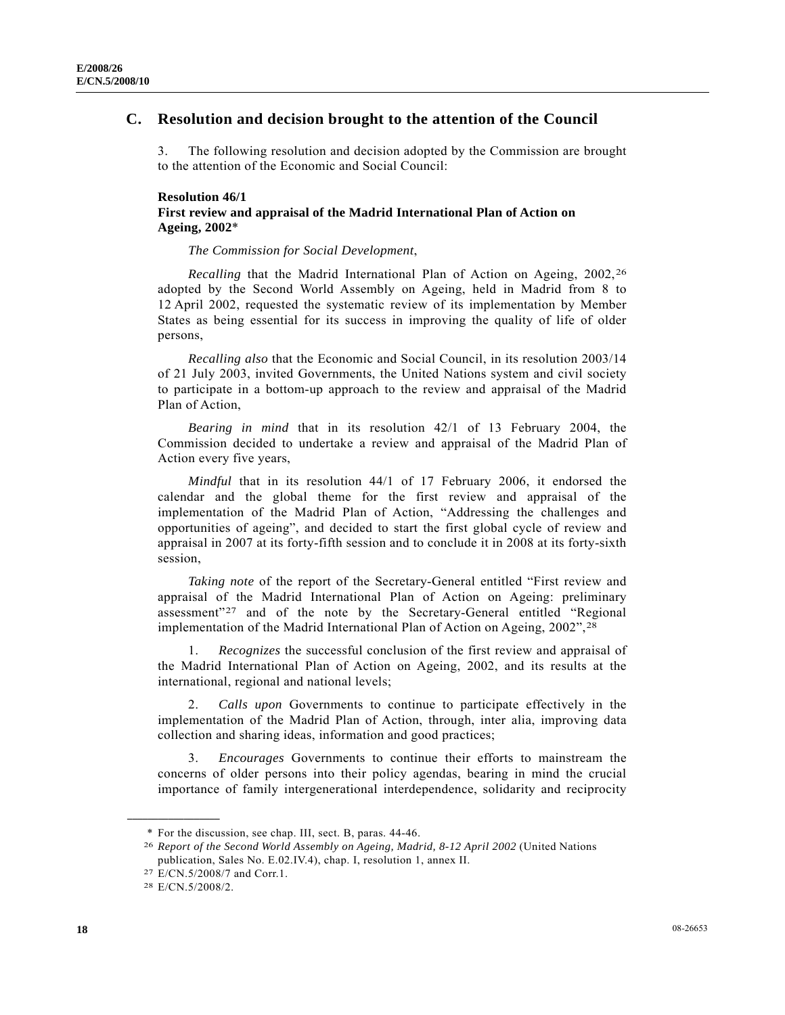## **Resolution 46/1 First review and appraisal of the Madrid International Plan of Action on Ageing, 2002**\*

*The Commission for Social Development*,

*Recalling* that the Madrid International Plan of Action on Ageing, 2002,<sup>[26](#page-0-0)</sup> adopted by the Second World Assembly on Ageing, held in Madrid from 8 to 12 April 2002, requested the systematic review of its implementation by Member States as being essential for its success in improving the quality of life of older persons,

*Recalling also* that the Economic and Social Council, in its resolution 2003/14 of 21 July 2003, invited Governments, the United Nations system and civil society to participate in a bottom-up approach to the review and appraisal of the Madrid Plan of Action,

*Bearing in mind* that in its resolution 42/1 of 13 February 2004, the Commission decided to undertake a review and appraisal of the Madrid Plan of Action every five years,

*Mindful* that in its resolution 44/1 of 17 February 2006, it endorsed the calendar and the global theme for the first review and appraisal of the implementation of the Madrid Plan of Action, "Addressing the challenges and opportunities of ageing", and decided to start the first global cycle of review and appraisal in 2007 at its forty-fifth session and to conclude it in 2008 at its forty-sixth session,

*Taking note* of the report of the Secretary-General entitled "First review and appraisal of the Madrid International Plan of Action on Ageing: preliminary assessment"[2](#page-0-1)7 and of the note by the Secretary-General entitled "Regional implementation of the Madrid International Plan of Action on Ageing, 2002",[28](#page-0-2)

 1. *Recognizes* the successful conclusion of the first review and appraisal of the Madrid International Plan of Action on Ageing, 2002, and its results at the international, regional and national levels;

 2. *Calls upon* Governments to continue to participate effectively in the implementation of the Madrid Plan of Action, through, inter alia, improving data collection and sharing ideas, information and good practices;

 3. *Encourages* Governments to continue their efforts to mainstream the concerns of older persons into their policy agendas, bearing in mind the crucial importance of family intergenerational interdependence, solidarity and reciprocity

<span id="page-0-1"></span><span id="page-0-0"></span>**\_\_\_\_\_\_\_\_\_\_\_\_\_\_\_\_\_\_** 

 <sup>\*</sup> For the discussion, see chap. III, sect. B, paras. 44-46. 26 *Report of the Second World Assembly on Ageing, Madrid, 8-12 April 2002* (United Nations publication, Sales No. E.02.IV.4), chap. I, resolution 1, annex II.

<sup>27</sup> E/CN.5/2008/7 and Corr.1.

<span id="page-0-2"></span><sup>28</sup> E/CN.5/2008/2.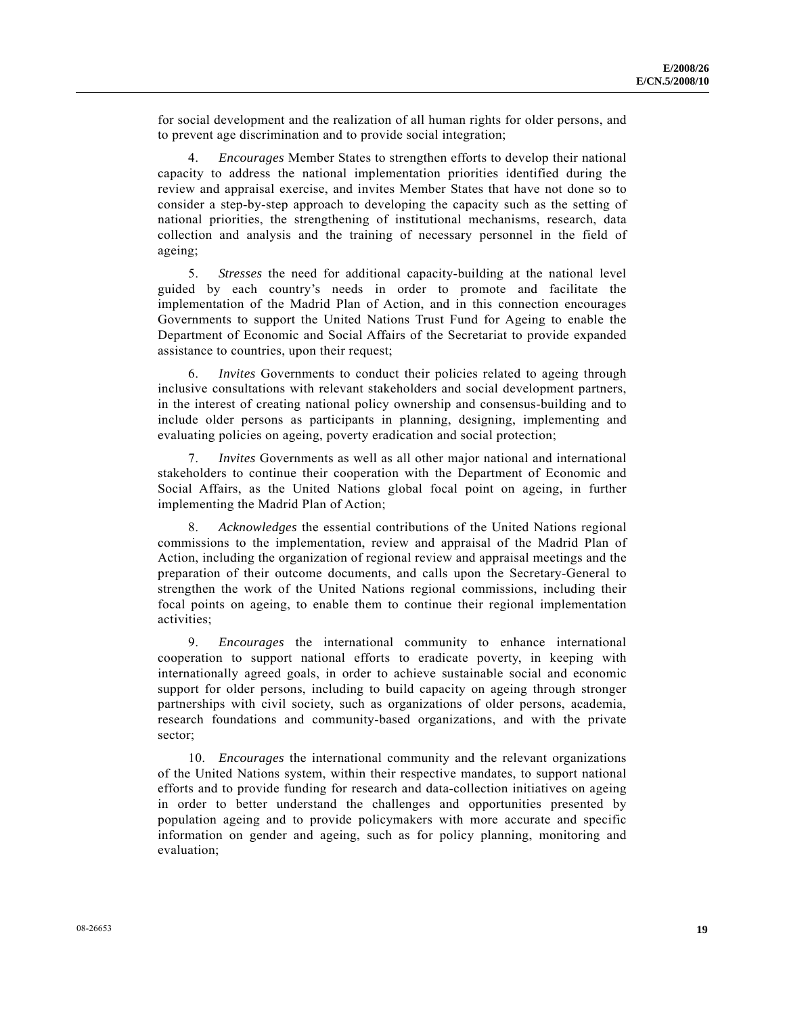for social development and the realization of all human rights for older persons, and to prevent age discrimination and to provide social integration;

 4. *Encourages* Member States to strengthen efforts to develop their national capacity to address the national implementation priorities identified during the review and appraisal exercise, and invites Member States that have not done so to consider a step-by-step approach to developing the capacity such as the setting of national priorities, the strengthening of institutional mechanisms, research, data collection and analysis and the training of necessary personnel in the field of ageing;

 5. *Stresses* the need for additional capacity-building at the national level guided by each country's needs in order to promote and facilitate the implementation of the Madrid Plan of Action, and in this connection encourages Governments to support the United Nations Trust Fund for Ageing to enable the Department of Economic and Social Affairs of the Secretariat to provide expanded assistance to countries, upon their request;

 6. *Invites* Governments to conduct their policies related to ageing through inclusive consultations with relevant stakeholders and social development partners, in the interest of creating national policy ownership and consensus-building and to include older persons as participants in planning, designing, implementing and evaluating policies on ageing, poverty eradication and social protection;

 7. *Invites* Governments as well as all other major national and international stakeholders to continue their cooperation with the Department of Economic and Social Affairs, as the United Nations global focal point on ageing, in further implementing the Madrid Plan of Action;

 8. *Acknowledges* the essential contributions of the United Nations regional commissions to the implementation, review and appraisal of the Madrid Plan of Action, including the organization of regional review and appraisal meetings and the preparation of their outcome documents, and calls upon the Secretary-General to strengthen the work of the United Nations regional commissions, including their focal points on ageing, to enable them to continue their regional implementation activities;

 9. *Encourages* the international community to enhance international cooperation to support national efforts to eradicate poverty, in keeping with internationally agreed goals, in order to achieve sustainable social and economic support for older persons, including to build capacity on ageing through stronger partnerships with civil society, such as organizations of older persons, academia, research foundations and community-based organizations, and with the private sector;

 10. *Encourages* the international community and the relevant organizations of the United Nations system, within their respective mandates, to support national efforts and to provide funding for research and data-collection initiatives on ageing in order to better understand the challenges and opportunities presented by population ageing and to provide policymakers with more accurate and specific information on gender and ageing, such as for policy planning, monitoring and evaluation;